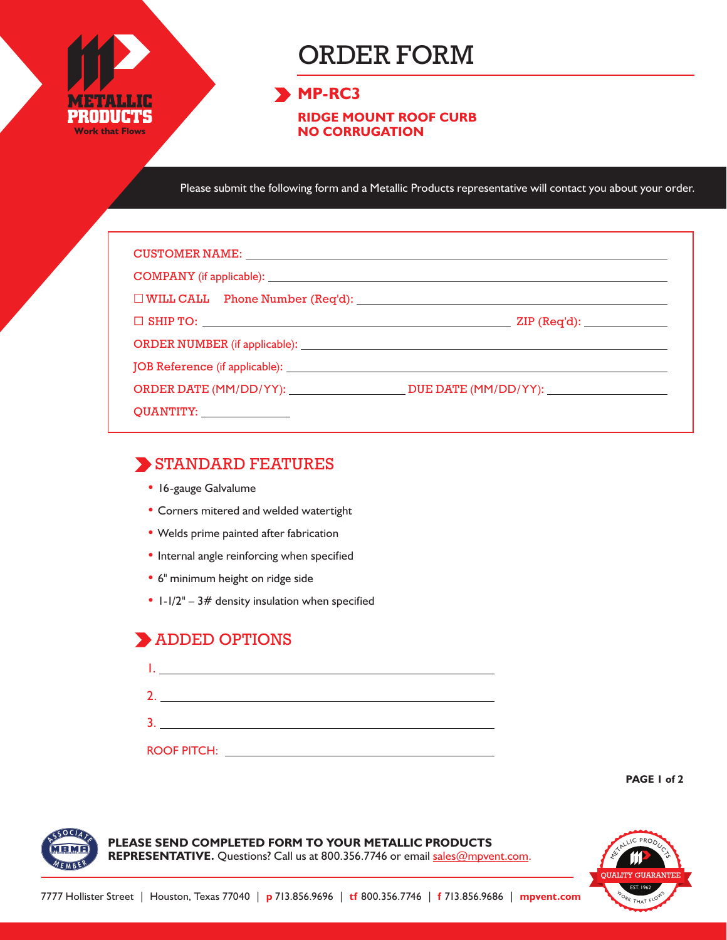

# ORDER FORM

#### **MP-RC3**

**RIDGE MOUNT ROOF CURB NO CORRUGATION**

Please submit the following form and a Metallic Products representative will contact you about your order.

| CUSTOMER NAME: NAME:                          |                               |  |  |  |  |
|-----------------------------------------------|-------------------------------|--|--|--|--|
|                                               |                               |  |  |  |  |
| $\Box$ WILL CALL Phone Number (Req'd): $\Box$ |                               |  |  |  |  |
|                                               | ZIP (Req'd): ________________ |  |  |  |  |
|                                               |                               |  |  |  |  |
|                                               |                               |  |  |  |  |
|                                               |                               |  |  |  |  |
| QUANTITY: _______________                     |                               |  |  |  |  |

#### STANDARD FEATURES

- 16-gauge Galvalume
- Corners mitered and welded watertight
- Welds prime painted after fabrication
- Internal angle reinforcing when specified
- 6" minimum height on ridge side
- $1-1/2" 3#$  density insulation when specified

### ADDED OPTIONS

| <b>ROOF PITCH:</b> |  |  |
|--------------------|--|--|

**PAGE 1 of 2**



**PLEASE SEND COMPLETED FORM TO YOUR METALLIC PRODUCTS**  REPRESENTATIVE. Questions? Call us at 800.356.7746 or email sales@mpvent.com.